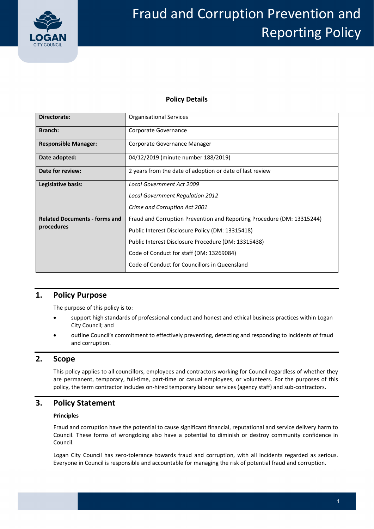

### **Policy Details**

| Directorate:                                       | <b>Organisational Services</b>                                         |  |  |
|----------------------------------------------------|------------------------------------------------------------------------|--|--|
| Branch:                                            | Corporate Governance                                                   |  |  |
| <b>Responsible Manager:</b>                        | Corporate Governance Manager                                           |  |  |
| Date adopted:                                      | 04/12/2019 (minute number 188/2019)                                    |  |  |
| Date for review:                                   | 2 years from the date of adoption or date of last review               |  |  |
| Legislative basis:                                 | Local Government Act 2009                                              |  |  |
|                                                    | <b>Local Government Regulation 2012</b>                                |  |  |
|                                                    | Crime and Corruption Act 2001                                          |  |  |
| <b>Related Documents - forms and</b><br>procedures | Fraud and Corruption Prevention and Reporting Procedure (DM: 13315244) |  |  |
|                                                    | Public Interest Disclosure Policy (DM: 13315418)                       |  |  |
|                                                    | Public Interest Disclosure Procedure (DM: 13315438)                    |  |  |
|                                                    | Code of Conduct for staff (DM: 13269084)                               |  |  |
|                                                    | Code of Conduct for Councillors in Queensland                          |  |  |

# **1. Policy Purpose**

The purpose of this policy is to:

- support high standards of professional conduct and honest and ethical business practices within Logan City Council; and
- outline Council's commitment to effectively preventing, detecting and responding to incidents of fraud and corruption.

### **2. Scope**

 This policy applies to all councillors, employees and contractors working for Council regardless of whether they are permanent, temporary, full‐time, part‐time or casual employees, or volunteers. For the purposes of this policy, the term contractor includes on‐hired temporary labour services (agency staff) and sub‐contractors.

# **3. Policy Statement**

#### **Principles**

 Fraud and corruption have the potential to cause significant financial, reputational and service delivery harm to Council. These forms of wrongdoing also have a potential to diminish or destroy community confidence in Council.

Logan City Council has zero-tolerance towards fraud and corruption, with all incidents regarded as serious. Everyone in Council is responsible and accountable for managing the risk of potential fraud and corruption.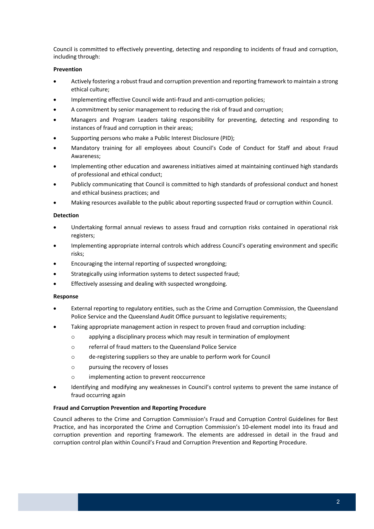Council is committed to effectively preventing, detecting and responding to incidents of fraud and corruption, including through:

#### **Prevention**

- Actively fostering a robust fraud and corruption prevention and reporting framework to maintain a strong ethical culture;
- Implementing effective Council wide anti-fraud and anti-corruption policies;
- A commitment by senior management to reducing the risk of fraud and corruption;
- Managers and Program Leaders taking responsibility for preventing, detecting and responding to instances of fraud and corruption in their areas;
- Supporting persons who make a Public Interest Disclosure (PID);
- Mandatory training for all employees about Council's Code of Conduct for Staff and about Fraud Awareness;
- Implementing other education and awareness initiatives aimed at maintaining continued high standards of professional and ethical conduct;
- Publicly communicating that Council is committed to high standards of professional conduct and honest and ethical business practices; and
- Making resources available to the public about reporting suspected fraud or corruption within Council.

#### **Detection**

- Undertaking formal annual reviews to assess fraud and corruption risks contained in operational risk registers;
- Implementing appropriate internal controls which address Council's operating environment and specific risks;
- Encouraging the internal reporting of suspected wrongdoing;
- Strategically using information systems to detect suspected fraud;
- **•** Effectively assessing and dealing with suspected wrongdoing.

#### **Response**

- External reporting to regulatory entities, such as the Crime and Corruption Commission, the Queensland Police Service and the Queensland Audit Office pursuant to legislative requirements;
- Taking appropriate management action in respect to proven fraud and corruption including:
	- $\circ$  applying a disciplinary process which may result in termination of employment
	- o referral of fraud matters to the Queensland Police Service
	- o de‐registering suppliers so they are unable to perform work for Council
	- o pursuing the recovery of losses
	- o implementing action to prevent reoccurrence
- Identifying and modifying any weaknesses in Council's control systems to prevent the same instance of fraud occurring again

#### **Fraud and Corruption Prevention and Reporting Procedure**

 Council adheres to the Crime and Corruption Commission's Fraud and Corruption Control Guidelines for Best Practice, and has incorporated the Crime and Corruption Commission's 10‐element model into its fraud and corruption prevention and reporting framework. The elements are addressed in detail in the fraud and corruption control plan within Council's Fraud and Corruption Prevention and Reporting Procedure.